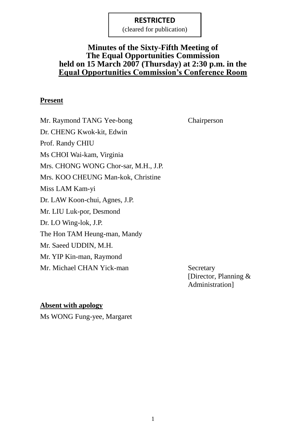(cleared for publication)

# **Minutes of the Sixty-Fifth Meeting of The Equal Opportunities Commission held on 15 March 2007 (Thursday) at 2:30 p.m. in the Equal Opportunities Commission's Conference Room**

### **Present**

Mr. Raymond TANG Yee-bong Chairperson Dr. CHENG Kwok-kit, Edwin Prof. Randy CHIU Ms CHOI Wai-kam, Virginia Mrs. CHONG WONG Chor-sar, M.H., J.P. Mrs. KOO CHEUNG Man-kok, Christine Miss LAM Kam-yi Dr. LAW Koon-chui, Agnes, J.P. Mr. LIU Luk-por, Desmond Dr. LO Wing-lok, J.P. The Hon TAM Heung-man, Mandy Mr. Saeed UDDIN, M.H. Mr. YIP Kin-man, Raymond Mr. Michael CHAN Yick-man Secretary

[Director, Planning & Administration]

# **Absent with apology**

Ms WONG Fung-yee, Margaret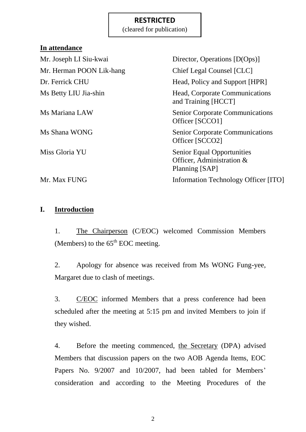(cleared for publication)

| In attendance            |                                                                                  |
|--------------------------|----------------------------------------------------------------------------------|
| Mr. Joseph LI Siu-kwai   | Director, Operations $[D(Ops)]$                                                  |
| Mr. Herman POON Lik-hang | Chief Legal Counsel [CLC]                                                        |
| Dr. Ferrick CHU          | Head, Policy and Support [HPR]                                                   |
| Ms Betty LIU Jia-shin    | Head, Corporate Communications<br>and Training [HCCT]                            |
| Ms Mariana LAW           | <b>Senior Corporate Communications</b><br>Officer [SCCO1]                        |
| Ms Shana WONG            | <b>Senior Corporate Communications</b><br>Officer [SCCO2]                        |
| Miss Gloria YU           | <b>Senior Equal Opportunities</b><br>Officer, Administration &<br>Planning [SAP] |
| Mr. Max FUNG             | <b>Information Technology Officer [ITO]</b>                                      |

# **I. Introduction**

1. The Chairperson (C/EOC) welcomed Commission Members (Members) to the  $65<sup>th</sup>$  EOC meeting.

2. Apology for absence was received from Ms WONG Fung-yee, Margaret due to clash of meetings.

3. C/EOC informed Members that a press conference had been scheduled after the meeting at 5:15 pm and invited Members to join if they wished.

4. Before the meeting commenced, the Secretary (DPA) advised Members that discussion papers on the two AOB Agenda Items, EOC Papers No. 9/2007 and 10/2007, had been tabled for Members' consideration and according to the Meeting Procedures of the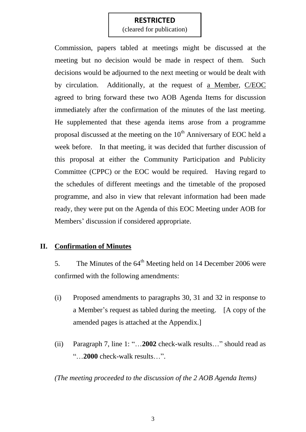(cleared for publication)

Commission, papers tabled at meetings might be discussed at the meeting but no decision would be made in respect of them. Such decisions would be adjourned to the next meeting or would be dealt with by circulation. Additionally, at the request of a Member, C/EOC agreed to bring forward these two AOB Agenda Items for discussion immediately after the confirmation of the minutes of the last meeting. He supplemented that these agenda items arose from a programme proposal discussed at the meeting on the  $10<sup>th</sup>$  Anniversary of EOC held a week before. In that meeting, it was decided that further discussion of this proposal at either the Community Participation and Publicity Committee (CPPC) or the EOC would be required. Having regard to the schedules of different meetings and the timetable of the proposed programme, and also in view that relevant information had been made ready, they were put on the Agenda of this EOC Meeting under AOB for Members' discussion if considered appropriate.

#### **II. Confirmation of Minutes**

5. The Minutes of the  $64<sup>th</sup>$  Meeting held on 14 December 2006 were confirmed with the following amendments:

- (i) Proposed amendments to paragraphs 30, 31 and 32 in response to a Member"s request as tabled during the meeting. [A copy of the amended pages is attached at the Appendix.]
- (ii) Paragraph 7, line 1: "…**2002** check-walk results…" should read as "…**2000** check-walk results…".

*(The meeting proceeded to the discussion of the 2 AOB Agenda Items)*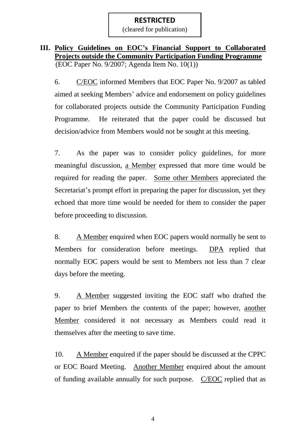(cleared for publication)

# **III. Policy Guidelines on EOC's Financial Support to Collaborated Projects outside the Community Participation Funding Programme** (EOC Paper No. 9/2007; Agenda Item No. 10(1))

6. C/EOC informed Members that EOC Paper No. 9/2007 as tabled aimed at seeking Members" advice and endorsement on policy guidelines for collaborated projects outside the Community Participation Funding Programme. He reiterated that the paper could be discussed but decision/advice from Members would not be sought at this meeting.

7. As the paper was to consider policy guidelines, for more meaningful discussion, a Member expressed that more time would be required for reading the paper. Some other Members appreciated the Secretariat's prompt effort in preparing the paper for discussion, yet they echoed that more time would be needed for them to consider the paper before proceeding to discussion.

8. A Member enquired when EOC papers would normally be sent to Members for consideration before meetings. DPA replied that normally EOC papers would be sent to Members not less than 7 clear days before the meeting.

9. A Member suggested inviting the EOC staff who drafted the paper to brief Members the contents of the paper; however, another Member considered it not necessary as Members could read it themselves after the meeting to save time.

10. A Member enquired if the paper should be discussed at the CPPC or EOC Board Meeting. Another Member enquired about the amount of funding available annually for such purpose. C/EOC replied that as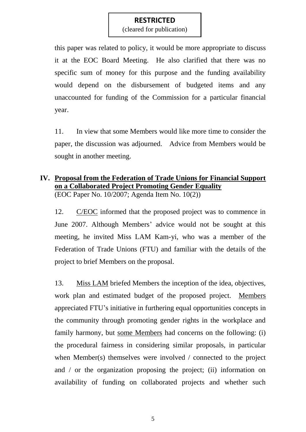(cleared for publication)

this paper was related to policy, it would be more appropriate to discuss it at the EOC Board Meeting. He also clarified that there was no specific sum of money for this purpose and the funding availability would depend on the disbursement of budgeted items and any unaccounted for funding of the Commission for a particular financial year.

11. In view that some Members would like more time to consider the paper, the discussion was adjourned. Advice from Members would be sought in another meeting.

### **IV. Proposal from the Federation of Trade Unions for Financial Support on a Collaborated Project Promoting Gender Equality** (EOC Paper No. 10/2007; Agenda Item No. 10(2))

12. C/EOC informed that the proposed project was to commence in June 2007. Although Members' advice would not be sought at this meeting, he invited Miss LAM Kam-yi, who was a member of the Federation of Trade Unions (FTU) and familiar with the details of the project to brief Members on the proposal.

13. Miss LAM briefed Members the inception of the idea, objectives, work plan and estimated budget of the proposed project. Members appreciated FTU"s initiative in furthering equal opportunities concepts in the community through promoting gender rights in the workplace and family harmony, but some Members had concerns on the following: (i) the procedural fairness in considering similar proposals, in particular when Member(s) themselves were involved / connected to the project and / or the organization proposing the project; (ii) information on availability of funding on collaborated projects and whether such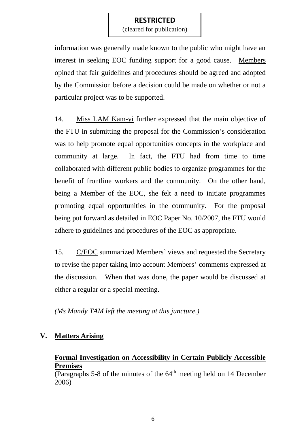(cleared for publication)

information was generally made known to the public who might have an interest in seeking EOC funding support for a good cause. Members opined that fair guidelines and procedures should be agreed and adopted by the Commission before a decision could be made on whether or not a particular project was to be supported.

14. Miss LAM Kam-yi further expressed that the main objective of the FTU in submitting the proposal for the Commission"s consideration was to help promote equal opportunities concepts in the workplace and community at large. In fact, the FTU had from time to time collaborated with different public bodies to organize programmes for the benefit of frontline workers and the community. On the other hand, being a Member of the EOC, she felt a need to initiate programmes promoting equal opportunities in the community. For the proposal being put forward as detailed in EOC Paper No. 10/2007, the FTU would adhere to guidelines and procedures of the EOC as appropriate.

15. C/EOC summarized Members' views and requested the Secretary to revise the paper taking into account Members' comments expressed at the discussion. When that was done, the paper would be discussed at either a regular or a special meeting.

*(Ms Mandy TAM left the meeting at this juncture.)*

# **V. Matters Arising**

# **Formal Investigation on Accessibility in Certain Publicly Accessible Premises**

 $\overline{({\rm Paragrams 5-8 \text{ of the minutes of the 64}}^{\text{th}})$  meeting held on 14 December 2006)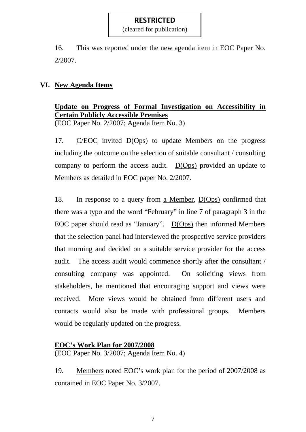(cleared for publication)

16. This was reported under the new agenda item in EOC Paper No. 2/2007.

# **VI. New Agenda Items**

**Update on Progress of Formal Investigation on Accessibility in Certain Publicly Accessible Premises** (EOC Paper No. 2/2007; Agenda Item No. 3)

17. C/EOC invited D(Ops) to update Members on the progress including the outcome on the selection of suitable consultant / consulting company to perform the access audit. D(Ops) provided an update to Members as detailed in EOC paper No. 2/2007.

18. In response to a query from a Member,  $D(Ops)$  confirmed that there was a typo and the word "February" in line 7 of paragraph 3 in the EOC paper should read as "January". D(Ops) then informed Members that the selection panel had interviewed the prospective service providers that morning and decided on a suitable service provider for the access audit. The access audit would commence shortly after the consultant / consulting company was appointed. On soliciting views from stakeholders, he mentioned that encouraging support and views were received. More views would be obtained from different users and contacts would also be made with professional groups. Members would be regularly updated on the progress.

# **EOC's Work Plan for 2007/2008**

(EOC Paper No. 3/2007; Agenda Item No. 4)

19. Members noted EOC"s work plan for the period of 2007/2008 as contained in EOC Paper No. 3/2007.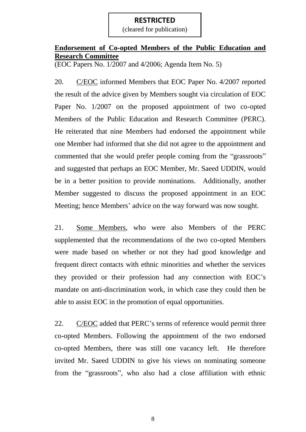(cleared for publication)

# **Endorsement of Co-opted Members of the Public Education and Research Committee**

(EOC Papers No. 1/2007 and 4/2006; Agenda Item No. 5)

20. C/EOC informed Members that EOC Paper No. 4/2007 reported the result of the advice given by Members sought via circulation of EOC Paper No. 1/2007 on the proposed appointment of two co-opted Members of the Public Education and Research Committee (PERC). He reiterated that nine Members had endorsed the appointment while one Member had informed that she did not agree to the appointment and commented that she would prefer people coming from the "grassroots" and suggested that perhaps an EOC Member, Mr. Saeed UDDIN, would be in a better position to provide nominations. Additionally, another Member suggested to discuss the proposed appointment in an EOC Meeting; hence Members' advice on the way forward was now sought.

21. Some Members, who were also Members of the PERC supplemented that the recommendations of the two co-opted Members were made based on whether or not they had good knowledge and frequent direct contacts with ethnic minorities and whether the services they provided or their profession had any connection with EOC"s mandate on anti-discrimination work, in which case they could then be able to assist EOC in the promotion of equal opportunities.

22. C/EOC added that PERC"s terms of reference would permit three co-opted Members. Following the appointment of the two endorsed co-opted Members, there was still one vacancy left. He therefore invited Mr. Saeed UDDIN to give his views on nominating someone from the "grassroots", who also had a close affiliation with ethnic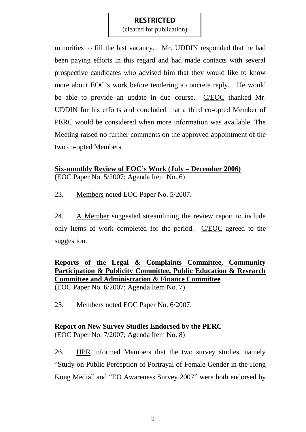(cleared for publication)

minorities to fill the last vacancy. Mr. UDDIN responded that he had been paying efforts in this regard and had made contacts with several prospective candidates who advised him that they would like to know more about EOC"s work before tendering a concrete reply. He would be able to provide an update in due course. C/EOC thanked Mr. UDDIN for his efforts and concluded that a third co-opted Member of PERC would be considered when more information was available. The Meeting raised no further comments on the approved appointment of the two co-opted Members.

# **Six-monthly Review of EOC's Work (July – December 2006)** (EOC Paper No. 5/2007; Agenda Item No. 6)

23. Members noted EOC Paper No. 5/2007.

24. A Member suggested streamlining the review report to include only items of work completed for the period. C/EOC agreed to the suggestion.

**Reports of the Legal & Complaints Committee, Community Participation & Publicity Committee, Public Education & Research Committee and Administration & Finance Committee** (EOC Paper No. 6/2007; Agenda Item No. 7)

25. Members noted EOC Paper No. 6/2007.

# **Report on New Survey Studies Endorsed by the PERC** (EOC Paper No. 7/2007; Agenda Item No. 8)

26. HPR informed Members that the two survey studies, namely "Study on Public Perception of Portrayal of Female Gender in the Hong Kong Media" and "EO Awareness Survey 2007" were both endorsed by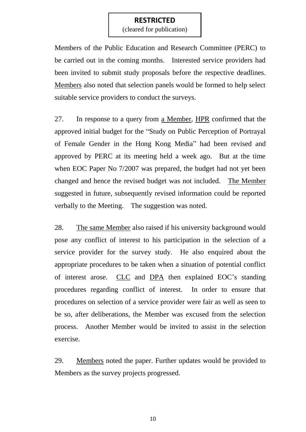(cleared for publication)

Members of the Public Education and Research Committee (PERC) to be carried out in the coming months. Interested service providers had been invited to submit study proposals before the respective deadlines. Members also noted that selection panels would be formed to help select suitable service providers to conduct the surveys.

27. In response to a query from a Member, HPR confirmed that the approved initial budget for the "Study on Public Perception of Portrayal of Female Gender in the Hong Kong Media" had been revised and approved by PERC at its meeting held a week ago. But at the time when EOC Paper No 7/2007 was prepared, the budget had not yet been changed and hence the revised budget was not included. The Member suggested in future, subsequently revised information could be reported verbally to the Meeting. The suggestion was noted.

28. The same Member also raised if his university background would pose any conflict of interest to his participation in the selection of a service provider for the survey study. He also enquired about the appropriate procedures to be taken when a situation of potential conflict of interest arose. CLC and DPA then explained EOC"s standing procedures regarding conflict of interest. In order to ensure that procedures on selection of a service provider were fair as well as seen to be so, after deliberations, the Member was excused from the selection process. Another Member would be invited to assist in the selection exercise.

29. Members noted the paper. Further updates would be provided to Members as the survey projects progressed.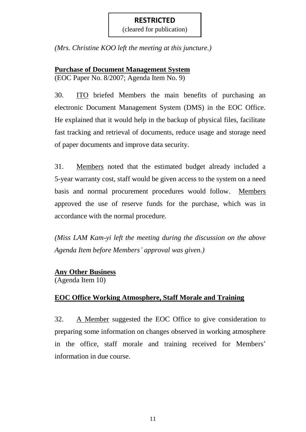(cleared for publication)

*(Mrs. Christine KOO left the meeting at this juncture.)*

### **Purchase of Document Management System** (EOC Paper No. 8/2007; Agenda Item No. 9)

30. ITO briefed Members the main benefits of purchasing an electronic Document Management System (DMS) in the EOC Office. He explained that it would help in the backup of physical files, facilitate fast tracking and retrieval of documents, reduce usage and storage need of paper documents and improve data security.

31. Members noted that the estimated budget already included a 5-year warranty cost, staff would be given access to the system on a need basis and normal procurement procedures would follow. Members approved the use of reserve funds for the purchase, which was in accordance with the normal procedure.

*(Miss LAM Kam-yi left the meeting during the discussion on the above Agenda Item before Members' approval was given.)*

# **Any Other Business**

(Agenda Item 10)

# **EOC Office Working Atmosphere, Staff Morale and Training**

32. A Member suggested the EOC Office to give consideration to preparing some information on changes observed in working atmosphere in the office, staff morale and training received for Members' information in due course.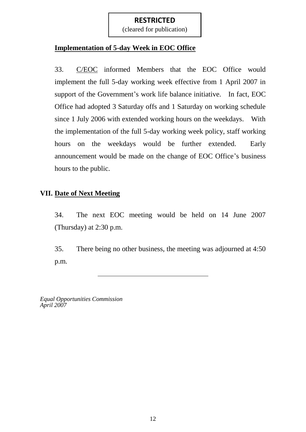(cleared for publication)

# **Implementation of 5-day Week in EOC Office**

33. C/EOC informed Members that the EOC Office would implement the full 5-day working week effective from 1 April 2007 in support of the Government's work life balance initiative. In fact, EOC Office had adopted 3 Saturday offs and 1 Saturday on working schedule since 1 July 2006 with extended working hours on the weekdays. With the implementation of the full 5-day working week policy, staff working hours on the weekdays would be further extended. Early announcement would be made on the change of EOC Office"s business hours to the public.

### **VII. Date of Next Meeting**

34. The next EOC meeting would be held on 14 June 2007 (Thursday) at 2:30 p.m.

35. There being no other business, the meeting was adjourned at 4:50 p.m.

*Equal Opportunities Commission April 2007*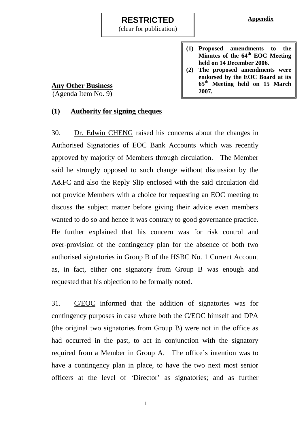# **RESTRICTED Appendix**

(clear for publication)

- **(1) Proposed amendments to the Minutes of the 64th EOC Meeting held on 14 December 2006.**
- **(2) The proposed amendments were endorsed by the EOC Board at its 65th Meeting held on 15 March 2007.**

**Any Other Business** (Agenda Item No. 9)

# **(1) Authority for signing cheques**

30. Dr. Edwin CHENG raised his concerns about the changes in Authorised Signatories of EOC Bank Accounts which was recently approved by majority of Members through circulation. The Member said he strongly opposed to such change without discussion by the A&FC and also the Reply Slip enclosed with the said circulation did not provide Members with a choice for requesting an EOC meeting to discuss the subject matter before giving their advice even members wanted to do so and hence it was contrary to good governance practice. He further explained that his concern was for risk control and over-provision of the contingency plan for the absence of both two authorised signatories in Group B of the HSBC No. 1 Current Account as, in fact, either one signatory from Group B was enough and requested that his objection to be formally noted.

31. C/EOC informed that the addition of signatories was for contingency purposes in case where both the C/EOC himself and DPA (the original two signatories from Group B) were not in the office as had occurred in the past, to act in conjunction with the signatory required from a Member in Group A. The office"s intention was to have a contingency plan in place, to have the two next most senior officers at the level of "Director" as signatories; and as further